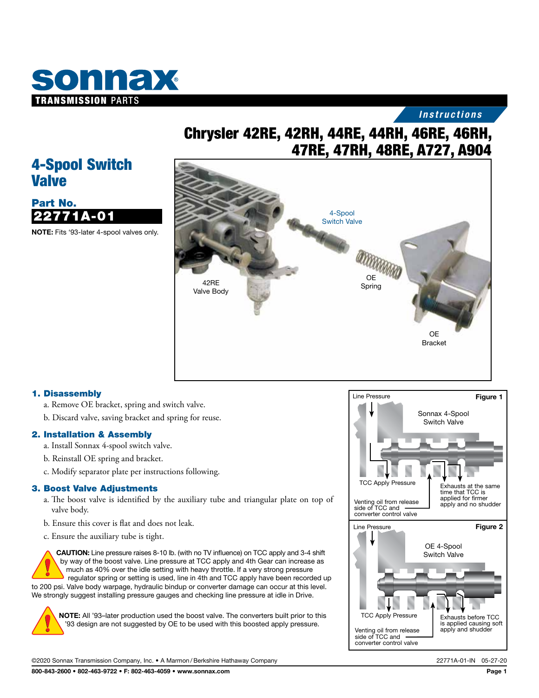

## *Instructions*

# Chrysler 42RE, 42RH, 44RE, 44RH, 46RE, 46RH, 47RE, 47RH, 48RE, A727, A904

## 4-Spool Switch Valve



NOTE: Fits '93-later 4-spool valves only.



#### 1. Disassembly

- a. Remove OE bracket, spring and switch valve.
- b. Discard valve, saving bracket and spring for reuse.

#### 2. Installation & Assembly

- a. Install Sonnax 4-spool switch valve.
- b. Reinstall OE spring and bracket.
- c. Modify separator plate per instructions following.

#### 3. Boost Valve Adjustments

- a. The boost valve is identified by the auxiliary tube and triangular plate on top of valve body.
- b. Ensure this cover is flat and does not leak.
- c. Ensure the auxiliary tube is tight.

CAUTION: Line pressure raises 8-10 lb. (with no TV influence) on TCC apply and 3-4 shift by way of the boost valve. Line pressure at TCC apply and 4th Gear can increase as much as 40% over the idle setting with heavy throttle. If a very strong pressure regulator spring or setting is used, line in 4th and TCC apply have been recorded up to 200 psi. Valve body warpage, hydraulic bindup or converter damage can occur at this level. We strongly suggest installing pressure gauges and checking line pressure at idle in Drive.



NOTE: All '93–later production used the boost valve. The converters built prior to this '93 design are not suggested by OE to be used with this boosted apply pressure.